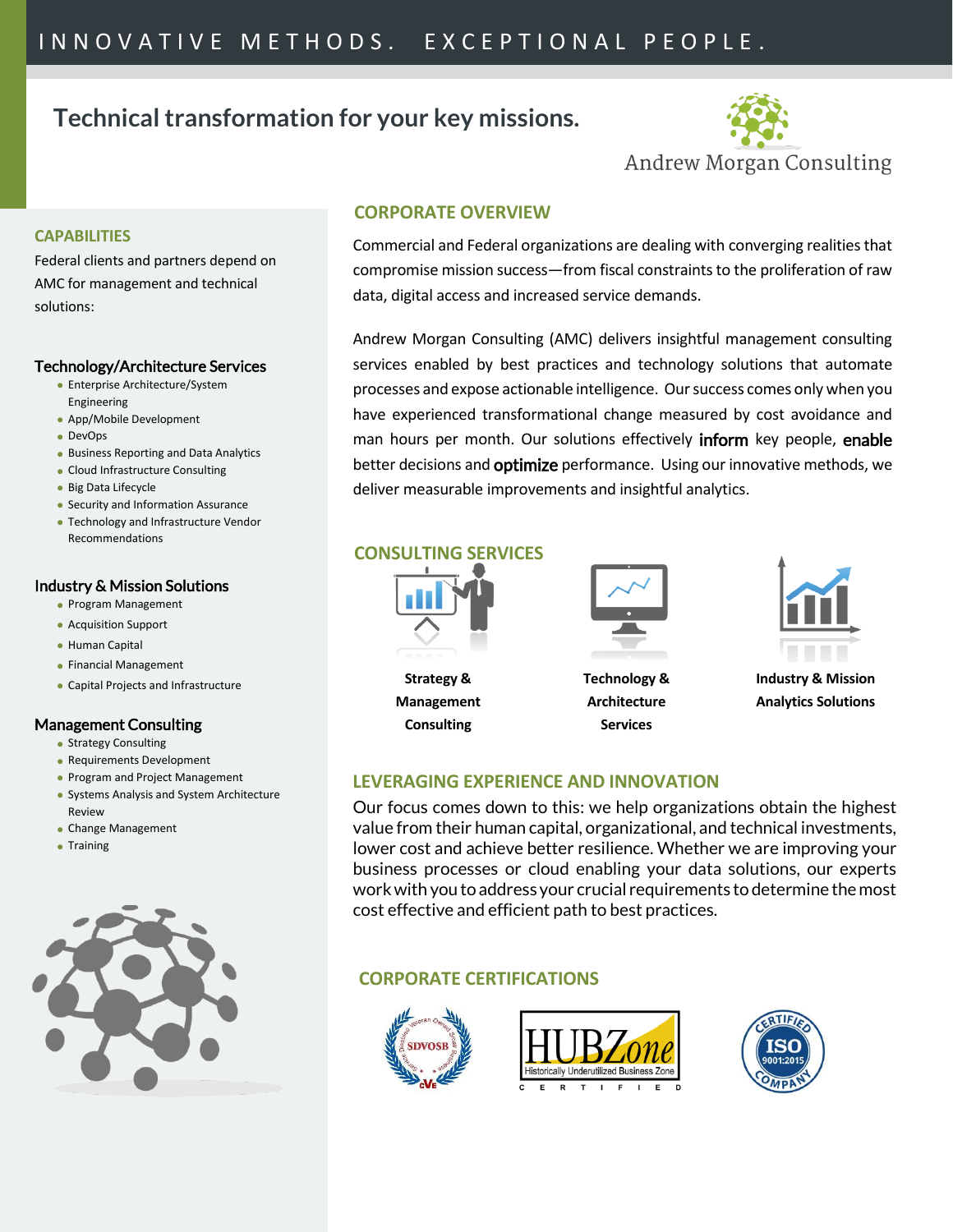# **Technical transformation for your key missions.**



### **CAPABILITIES**

Federal clients and partners depend on AMC for management and technical solutions:

#### Technology/Architecture Services

- Enterprise Architecture/System Engineering
- App/Mobile Development
- DevOps
- Business Reporting and Data Analytics
- Cloud Infrastructure Consulting
- Big Data Lifecycle
- Security and Information Assurance
- Technology and Infrastructure Vendor Recommendations

### Industry & Mission Solutions

- Program Management
- Acquisition Support
- Human Capital
- Financial Management
- Capital Projects and Infrastructure

### Management Consulting

- Strategy Consulting
- Requirements Development
- Program and Project Management
- Systems Analysis and System Architecture Review
- Change Management
- Training



### **CORPORATE OVERVIEW**

Commercial and Federal organizations are dealing with converging realities that compromise mission success—from fiscal constraints to the proliferation of raw data, digital access and increased service demands.

Andrew Morgan Consulting (AMC) delivers insightful management consulting services enabled by best practices and technology solutions that automate processes and expose actionable intelligence. Our success comes only when you have experienced transformational change measured by cost avoidance and man hours per month. Our solutions effectively **inform** key people, enable better decisions and **optimize** performance. Using our innovative methods, we deliver measurable improvements and insightful analytics.

### **CONSULTING SERVICES**

**Strategy & Management Consulting**



**Technology & Architecture Services**



**Industry & Mission Analytics Solutions**

# **LEVERAGING EXPERIENCE AND INNOVATION**

Our focus comes down to this: we help organizations obtain the highest value from their human capital, organizational, and technical investments, lower cost and achieve better resilience. Whether we are improving your business processes or cloud enabling your data solutions, our experts work with you to address your crucial requirements to determine the most cost effective and efficient path to best practices.

# **CORPORATE CERTIFICATIONS**